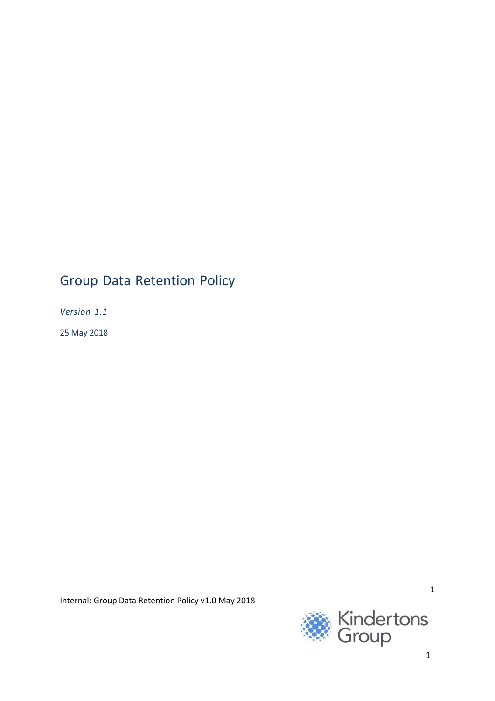# Group Data Retention Policy

*Version 1.1*

25 May 2018

Internal: Group Data Retention Policy v1.0 May 2018

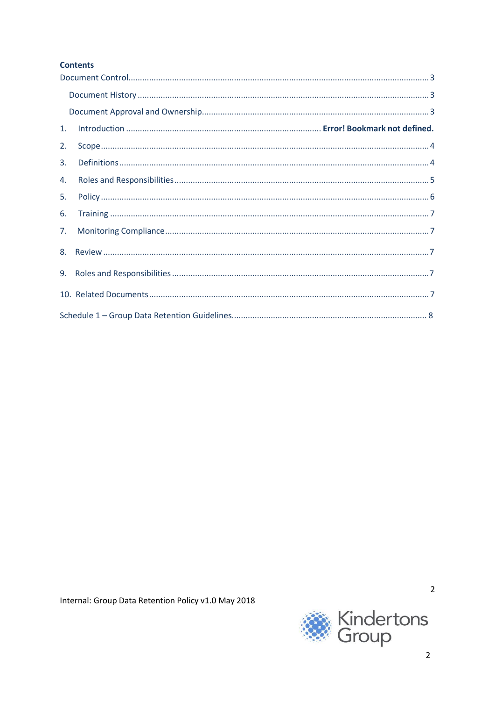# **Contents**

| 1. |  |  |
|----|--|--|
| 2. |  |  |
| 3. |  |  |
| 4. |  |  |
| 5. |  |  |
| 6. |  |  |
| 7. |  |  |
|    |  |  |
|    |  |  |
|    |  |  |
|    |  |  |



 $\overline{2}$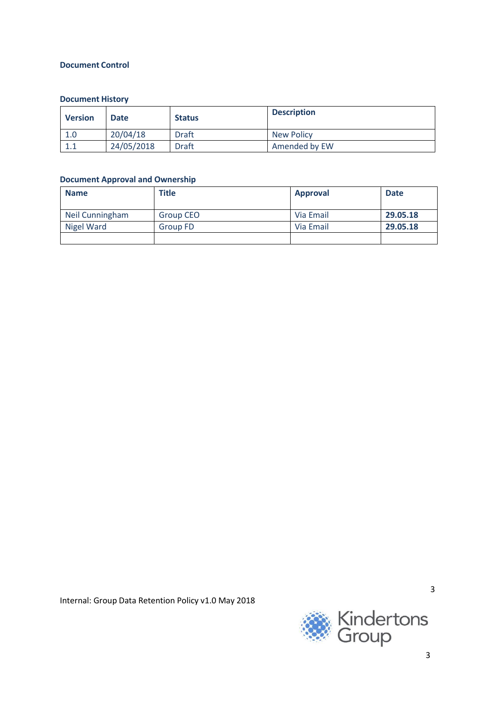# **Document Control**

# **Document History**

| <b>Version</b> | <b>Date</b> | <b>Status</b> | <b>Description</b> |
|----------------|-------------|---------------|--------------------|
| 1.0            | 20/04/18    | <b>Draft</b>  | <b>New Policy</b>  |
|                | 24/05/2018  | <b>Draft</b>  | Amended by EW      |

# **Document Approval and Ownership**

| <b>Name</b>     | <b>Title</b>     | <b>Approval</b> | <b>Date</b> |
|-----------------|------------------|-----------------|-------------|
| Neil Cunningham | <b>Group CEO</b> | Via Email       | 29.05.18    |
| Nigel Ward      | <b>Group FD</b>  | Via Email       | 29.05.18    |
|                 |                  |                 |             |

Internal: Group Data Retention Policy v1.0 May 2018

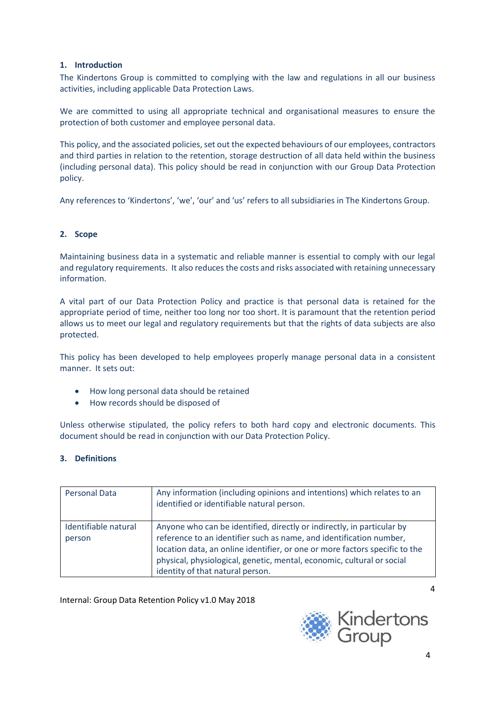# **1. Introduction**

The Kindertons Group is committed to complying with the law and regulations in all our business activities, including applicable Data Protection Laws.

We are committed to using all appropriate technical and organisational measures to ensure the protection of both customer and employee personal data.

This policy, and the associated policies, set out the expected behaviours of our employees, contractors and third parties in relation to the retention, storage destruction of all data held within the business (including personal data). This policy should be read in conjunction with our Group Data Protection policy.

Any references to 'Kindertons', 'we', 'our' and 'us' refers to all subsidiaries in The Kindertons Group.

# **2. Scope**

Maintaining business data in a systematic and reliable manner is essential to comply with our legal and regulatory requirements. It also reduces the costs and risks associated with retaining unnecessary information.

A vital part of our Data Protection Policy and practice is that personal data is retained for the appropriate period of time, neither too long nor too short. It is paramount that the retention period allows us to meet our legal and regulatory requirements but that the rights of data subjects are also protected.

This policy has been developed to help employees properly manage personal data in a consistent manner. It sets out:

- How long personal data should be retained
- How records should be disposed of

Unless otherwise stipulated, the policy refers to both hard copy and electronic documents. This document should be read in conjunction with our Data Protection Policy.

## **3. Definitions**

| <b>Personal Data</b>           | Any information (including opinions and intentions) which relates to an<br>identified or identifiable natural person.                                                                                                                                                                                                                      |
|--------------------------------|--------------------------------------------------------------------------------------------------------------------------------------------------------------------------------------------------------------------------------------------------------------------------------------------------------------------------------------------|
| Identifiable natural<br>person | Anyone who can be identified, directly or indirectly, in particular by<br>reference to an identifier such as name, and identification number,<br>location data, an online identifier, or one or more factors specific to the<br>physical, physiological, genetic, mental, economic, cultural or social<br>identity of that natural person. |

Internal: Group Data Retention Policy v1.0 May 2018

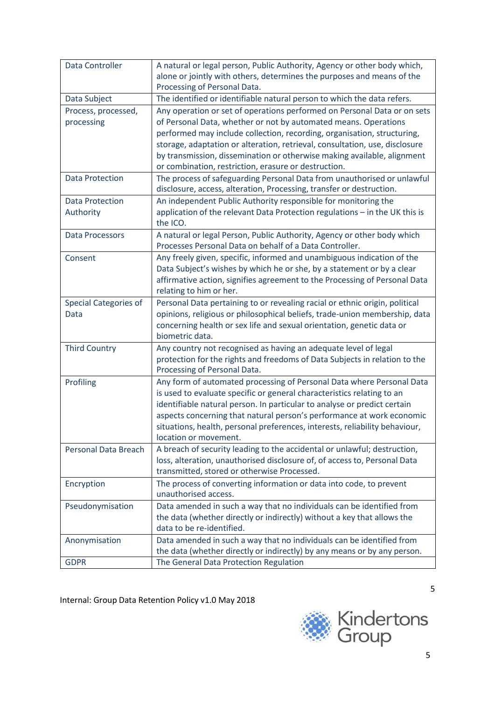| <b>Data Controller</b>              | A natural or legal person, Public Authority, Agency or other body which,<br>alone or jointly with others, determines the purposes and means of the                                                                                                                                                                                                                                                                                       |
|-------------------------------------|------------------------------------------------------------------------------------------------------------------------------------------------------------------------------------------------------------------------------------------------------------------------------------------------------------------------------------------------------------------------------------------------------------------------------------------|
|                                     | Processing of Personal Data.                                                                                                                                                                                                                                                                                                                                                                                                             |
| Data Subject                        | The identified or identifiable natural person to which the data refers.                                                                                                                                                                                                                                                                                                                                                                  |
| Process, processed,<br>processing   | Any operation or set of operations performed on Personal Data or on sets<br>of Personal Data, whether or not by automated means. Operations<br>performed may include collection, recording, organisation, structuring,<br>storage, adaptation or alteration, retrieval, consultation, use, disclosure<br>by transmission, dissemination or otherwise making available, alignment<br>or combination, restriction, erasure or destruction. |
| <b>Data Protection</b>              | The process of safeguarding Personal Data from unauthorised or unlawful<br>disclosure, access, alteration, Processing, transfer or destruction.                                                                                                                                                                                                                                                                                          |
| <b>Data Protection</b><br>Authority | An independent Public Authority responsible for monitoring the<br>application of the relevant Data Protection regulations - in the UK this is<br>the ICO.                                                                                                                                                                                                                                                                                |
| <b>Data Processors</b>              | A natural or legal Person, Public Authority, Agency or other body which<br>Processes Personal Data on behalf of a Data Controller.                                                                                                                                                                                                                                                                                                       |
| Consent                             | Any freely given, specific, informed and unambiguous indication of the<br>Data Subject's wishes by which he or she, by a statement or by a clear<br>affirmative action, signifies agreement to the Processing of Personal Data<br>relating to him or her.                                                                                                                                                                                |
| Special Categories of<br>Data       | Personal Data pertaining to or revealing racial or ethnic origin, political<br>opinions, religious or philosophical beliefs, trade-union membership, data<br>concerning health or sex life and sexual orientation, genetic data or<br>biometric data.                                                                                                                                                                                    |
| <b>Third Country</b>                | Any country not recognised as having an adequate level of legal<br>protection for the rights and freedoms of Data Subjects in relation to the<br>Processing of Personal Data.                                                                                                                                                                                                                                                            |
| Profiling                           | Any form of automated processing of Personal Data where Personal Data<br>is used to evaluate specific or general characteristics relating to an<br>identifiable natural person. In particular to analyse or predict certain<br>aspects concerning that natural person's performance at work economic<br>situations, health, personal preferences, interests, reliability behaviour,<br>location or movement.                             |
| <b>Personal Data Breach</b>         | A breach of security leading to the accidental or unlawful; destruction,<br>loss, alteration, unauthorised disclosure of, of access to, Personal Data<br>transmitted, stored or otherwise Processed.                                                                                                                                                                                                                                     |
| Encryption                          | The process of converting information or data into code, to prevent<br>unauthorised access.                                                                                                                                                                                                                                                                                                                                              |
| Pseudonymisation                    | Data amended in such a way that no individuals can be identified from<br>the data (whether directly or indirectly) without a key that allows the<br>data to be re-identified.                                                                                                                                                                                                                                                            |
| Anonymisation                       | Data amended in such a way that no individuals can be identified from<br>the data (whether directly or indirectly) by any means or by any person.                                                                                                                                                                                                                                                                                        |
| <b>GDPR</b>                         | The General Data Protection Regulation                                                                                                                                                                                                                                                                                                                                                                                                   |

Internal: Group Data Retention Policy v1.0 May 2018

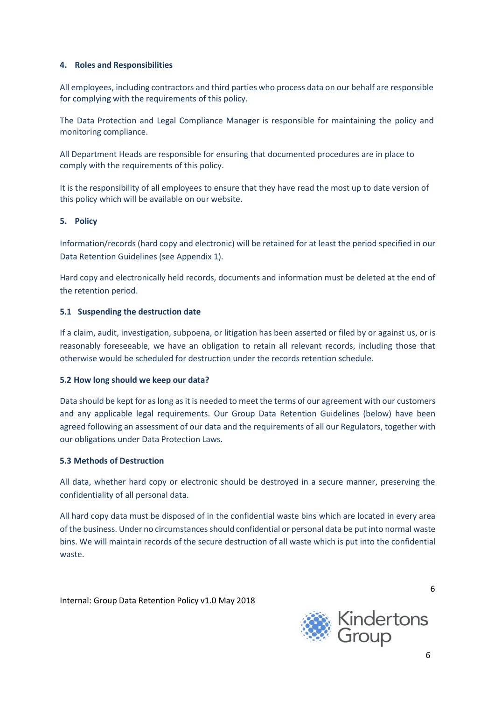## **4. Roles and Responsibilities**

All employees, including contractors and third parties who process data on our behalf are responsible for complying with the requirements of this policy.

The Data Protection and Legal Compliance Manager is responsible for maintaining the policy and monitoring compliance.

All Department Heads are responsible for ensuring that documented procedures are in place to comply with the requirements of this policy.

It is the responsibility of all employees to ensure that they have read the most up to date version of this policy which will be available on our website.

## **5. Policy**

Information/records (hard copy and electronic) will be retained for at least the period specified in our Data Retention Guidelines (see Appendix 1).

Hard copy and electronically held records, documents and information must be deleted at the end of the retention period.

## **5.1 Suspending the destruction date**

If a claim, audit, investigation, subpoena, or litigation has been asserted or filed by or against us, or is reasonably foreseeable, we have an obligation to retain all relevant records, including those that otherwise would be scheduled for destruction under the records retention schedule.

## **5.2 How long should we keep our data?**

Data should be kept for as long as it is needed to meet the terms of our agreement with our customers and any applicable legal requirements. Our Group Data Retention Guidelines (below) have been agreed following an assessment of our data and the requirements of all our Regulators, together with our obligations under Data Protection Laws.

## **5.3 Methods of Destruction**

All data, whether hard copy or electronic should be destroyed in a secure manner, preserving the confidentiality of all personal data.

All hard copy data must be disposed of in the confidential waste bins which are located in every area of the business. Under no circumstances should confidential or personal data be put into normal waste bins. We will maintain records of the secure destruction of all waste which is put into the confidential waste.

Internal: Group Data Retention Policy v1.0 May 2018



6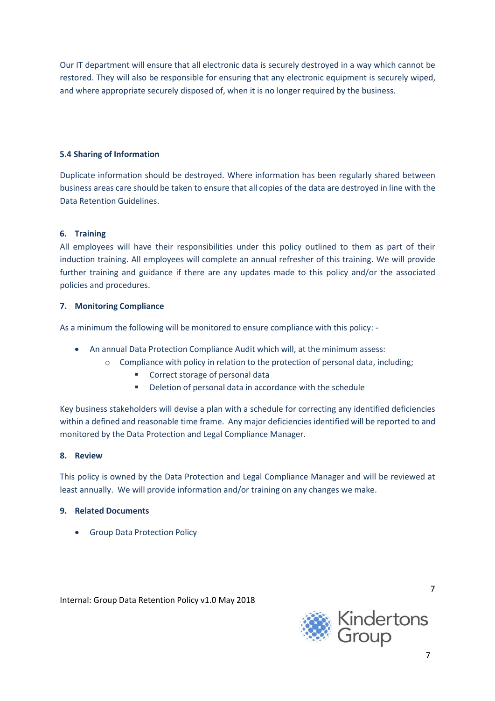Our IT department will ensure that all electronic data is securely destroyed in a way which cannot be restored. They will also be responsible for ensuring that any electronic equipment is securely wiped, and where appropriate securely disposed of, when it is no longer required by the business.

# **5.4 Sharing of Information**

Duplicate information should be destroyed. Where information has been regularly shared between business areas care should be taken to ensure that all copies of the data are destroyed in line with the Data Retention Guidelines.

## **6. Training**

All employees will have their responsibilities under this policy outlined to them as part of their induction training. All employees will complete an annual refresher of this training. We will provide further training and guidance if there are any updates made to this policy and/or the associated policies and procedures.

## **7. Monitoring Compliance**

As a minimum the following will be monitored to ensure compliance with this policy: -

- An annual Data Protection Compliance Audit which will, at the minimum assess:
	- $\circ$  Compliance with policy in relation to the protection of personal data, including;
		- Correct storage of personal data
		- Deletion of personal data in accordance with the schedule

Key business stakeholders will devise a plan with a schedule for correcting any identified deficiencies within a defined and reasonable time frame. Any major deficiencies identified will be reported to and monitored by the Data Protection and Legal Compliance Manager.

## **8. Review**

This policy is owned by the Data Protection and Legal Compliance Manager and will be reviewed at least annually. We will provide information and/or training on any changes we make.

## **9. Related Documents**

• Group Data Protection Policy

Internal: Group Data Retention Policy v1.0 May 2018

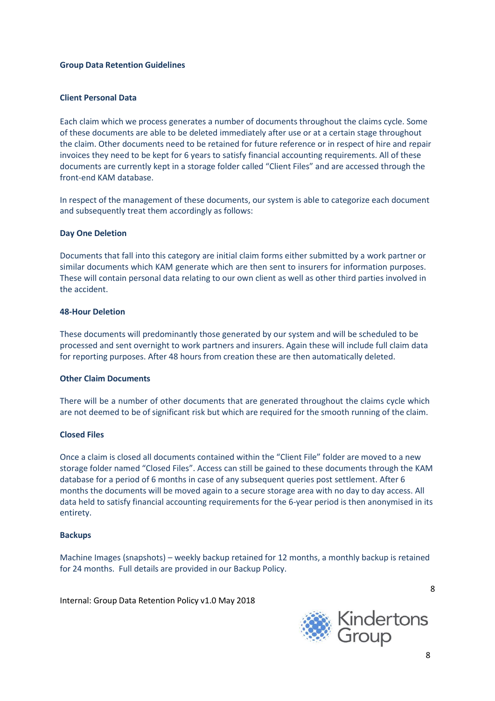## **Group Data Retention Guidelines**

## **Client Personal Data**

Each claim which we process generates a number of documents throughout the claims cycle. Some of these documents are able to be deleted immediately after use or at a certain stage throughout the claim. Other documents need to be retained for future reference or in respect of hire and repair invoices they need to be kept for 6 years to satisfy financial accounting requirements. All of these documents are currently kept in a storage folder called "Client Files" and are accessed through the front-end KAM database.

In respect of the management of these documents, our system is able to categorize each document and subsequently treat them accordingly as follows:

## **Day One Deletion**

Documents that fall into this category are initial claim forms either submitted by a work partner or similar documents which KAM generate which are then sent to insurers for information purposes. These will contain personal data relating to our own client as well as other third parties involved in the accident.

## **48-Hour Deletion**

These documents will predominantly those generated by our system and will be scheduled to be processed and sent overnight to work partners and insurers. Again these will include full claim data for reporting purposes. After 48 hours from creation these are then automatically deleted.

## **Other Claim Documents**

There will be a number of other documents that are generated throughout the claims cycle which are not deemed to be of significant risk but which are required for the smooth running of the claim.

## **Closed Files**

Once a claim is closed all documents contained within the "Client File" folder are moved to a new storage folder named "Closed Files". Access can still be gained to these documents through the KAM database for a period of 6 months in case of any subsequent queries post settlement. After 6 months the documents will be moved again to a secure storage area with no day to day access. All data held to satisfy financial accounting requirements for the 6-year period is then anonymised in its entirety.

#### **Backups**

Machine Images (snapshots) – weekly backup retained for 12 months, a monthly backup is retained for 24 months. Full details are provided in our Backup Policy.

Internal: Group Data Retention Policy v1.0 May 2018

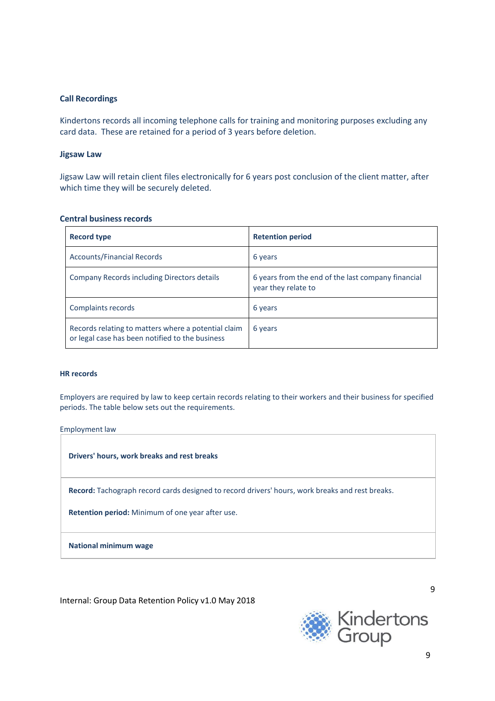## **Call Recordings**

Kindertons records all incoming telephone calls for training and monitoring purposes excluding any card data. These are retained for a period of 3 years before deletion.

## **Jigsaw Law**

Jigsaw Law will retain client files electronically for 6 years post conclusion of the client matter, after which time they will be securely deleted.

## **Central business records**

| Record type                                                                                            | <b>Retention period</b>                                                   |
|--------------------------------------------------------------------------------------------------------|---------------------------------------------------------------------------|
| <b>Accounts/Financial Records</b>                                                                      | 6 years                                                                   |
| Company Records including Directors details                                                            | 6 years from the end of the last company financial<br>year they relate to |
| Complaints records                                                                                     | 6 years                                                                   |
| Records relating to matters where a potential claim<br>or legal case has been notified to the business | 6 years                                                                   |

#### **HR records**

Employers are required by law to keep certain records relating to their workers and their business for specified periods. The table below sets out the requirements.

| Employment law                                                                                  |  |  |
|-------------------------------------------------------------------------------------------------|--|--|
| Drivers' hours, work breaks and rest breaks                                                     |  |  |
| Record: Tachograph record cards designed to record drivers' hours, work breaks and rest breaks. |  |  |
| <b>Retention period:</b> Minimum of one year after use.                                         |  |  |
| <b>National minimum wage</b>                                                                    |  |  |
|                                                                                                 |  |  |

Internal: Group Data Retention Policy v1.0 May 2018

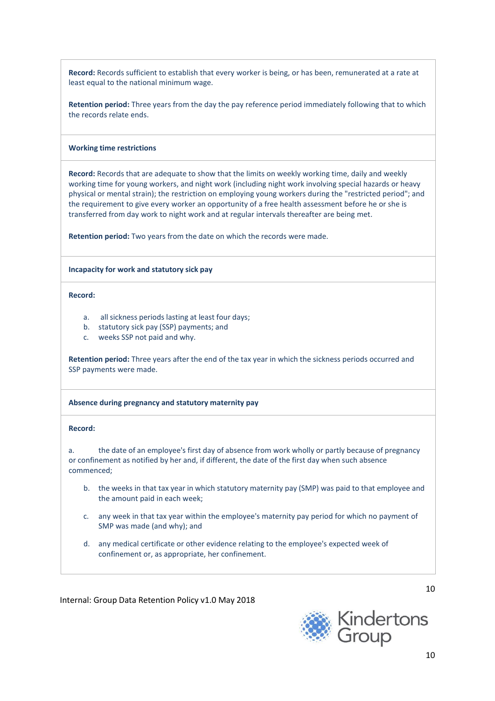**Record:** Records sufficient to establish that every worker is being, or has been, remunerated at a rate at least equal to the national minimum wage.

**Retention period:** Three years from the day the pay reference period immediately following that to which the records relate ends.

#### **Working time restrictions**

**Record:** Records that are adequate to show that the limits on weekly working time, daily and weekly working time for young workers, and night work (including night work involving special hazards or heavy physical or mental strain); the restriction on employing young workers during the "restricted period"; and the requirement to give every worker an opportunity of a free health assessment before he or she is transferred from day work to night work and at regular intervals thereafter are being met.

**Retention period:** Two years from the date on which the records were made.

#### **Incapacity for work and statutory sick pay**

**Record:**

- a. all sickness periods lasting at least four days;
- b. statutory sick pay (SSP) payments; and
- c. weeks SSP not paid and why.

**Retention period:** Three years after the end of the tax year in which the sickness periods occurred and SSP payments were made.

#### **Absence during pregnancy and statutory maternity pay**

## **Record:**

a. the date of an employee's first day of absence from work wholly or partly because of pregnancy or confinement as notified by her and, if different, the date of the first day when such absence commenced;

- b. the weeks in that tax year in which statutory maternity pay (SMP) was paid to that employee and the amount paid in each week;
- c. any week in that tax year within the employee's maternity pay period for which no payment of SMP was made (and why); and
- d. any medical certificate or other evidence relating to the employee's expected week of confinement or, as appropriate, her confinement.

Internal: Group Data Retention Policy v1.0 May 2018

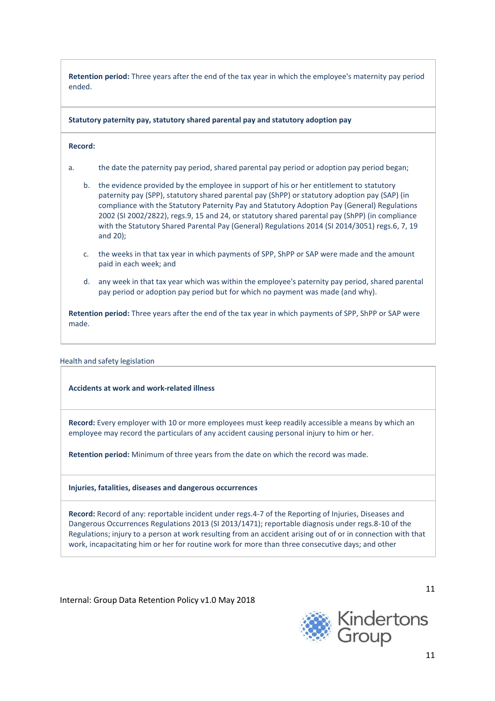**Retention period:** Three years after the end of the tax year in which the employee's maternity pay period ended.

**Statutory paternity pay, statutory shared parental pay and statutory adoption pay**

## **Record:**

- a. the date the paternity pay period, shared parental pay period or adoption pay period began;
	- b. the evidence provided by the employee in support of his or her entitlement to statutory paternity pay (SPP), statutory shared parental pay (ShPP) or statutory adoption pay (SAP) (in compliance with the Statutory Paternity Pay and Statutory Adoption Pay (General) Regulations 2002 (SI 2002/2822), regs.9, 15 and 24, or statutory shared parental pay (ShPP) (in compliance with the Statutory Shared Parental Pay (General) Regulations 2014 (SI 2014/3051) regs.6, 7, 19 and 20);
	- c. the weeks in that tax year in which payments of SPP, ShPP or SAP were made and the amount paid in each week; and
	- d. any week in that tax year which was within the employee's paternity pay period, shared parental pay period or adoption pay period but for which no payment was made (and why).

**Retention period:** Three years after the end of the tax year in which payments of SPP, ShPP or SAP were made.

#### Health and safety legislation

#### **Accidents at work and work-related illness**

**Record:** Every employer with 10 or more employees must keep readily accessible a means by which an employee may record the particulars of any accident causing personal injury to him or her.

**Retention period:** Minimum of three years from the date on which the record was made.

#### **Injuries, fatalities, diseases and dangerous occurrences**

**Record:** Record of any: reportable incident under regs.4-7 of the Reporting of Injuries, Diseases and Dangerous Occurrences Regulations 2013 (SI 2013/1471); reportable diagnosis under regs.8-10 of the Regulations; injury to a person at work resulting from an accident arising out of or in connection with that work, incapacitating him or her for routine work for more than three consecutive days; and other

Internal: Group Data Retention Policy v1.0 May 2018

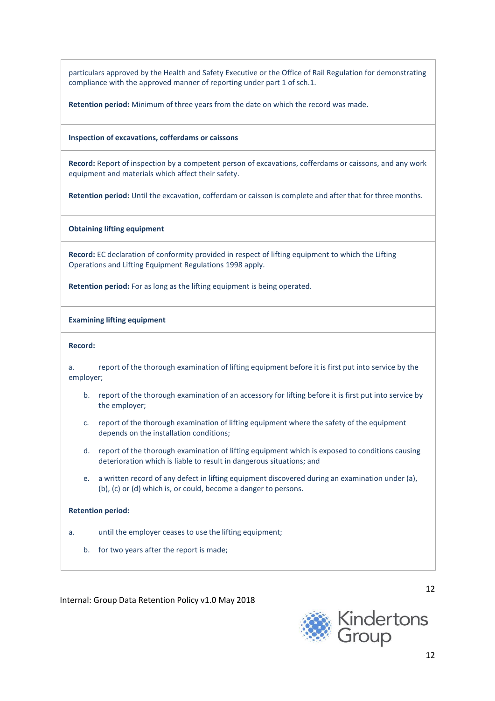particulars approved by the Health and Safety Executive or the Office of Rail Regulation for demonstrating compliance with the approved manner of reporting under part 1 of sch.1.

**Retention period:** Minimum of three years from the date on which the record was made.

**Inspection of excavations, cofferdams or caissons**

**Record:** Report of inspection by a competent person of excavations, cofferdams or caissons, and any work equipment and materials which affect their safety.

**Retention period:** Until the excavation, cofferdam or caisson is complete and after that for three months.

**Obtaining lifting equipment**

**Record:** EC declaration of conformity provided in respect of lifting equipment to which the Lifting Operations and Lifting Equipment Regulations 1998 apply.

**Retention period:** For as long as the lifting equipment is being operated.

**Examining lifting equipment**

**Record:**

|           | report of the thorough examination of lifting equipment before it is first put into service by the |
|-----------|----------------------------------------------------------------------------------------------------|
| emplover; |                                                                                                    |

- b. report of the thorough examination of an accessory for lifting before it is first put into service by the employer;
- c. report of the thorough examination of lifting equipment where the safety of the equipment depends on the installation conditions;
- d. report of the thorough examination of lifting equipment which is exposed to conditions causing deterioration which is liable to result in dangerous situations; and
- e. a written record of any defect in lifting equipment discovered during an examination under (a), (b), (c) or (d) which is, or could, become a danger to persons.

**Retention period:**

a. until the employer ceases to use the lifting equipment;

b. for two years after the report is made;

Internal: Group Data Retention Policy v1.0 May 2018

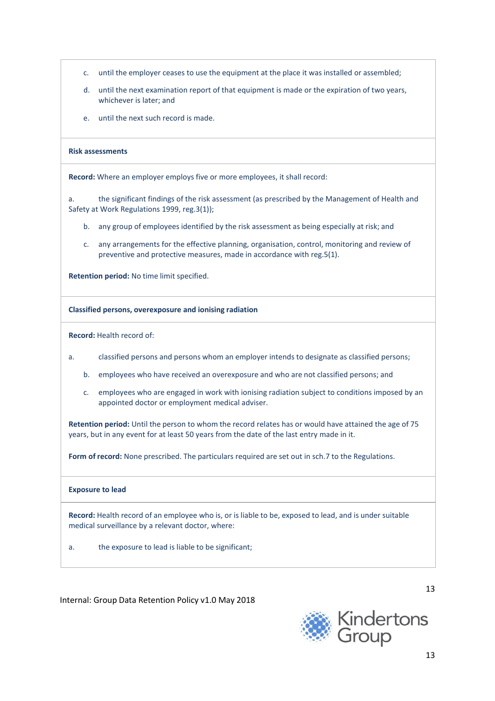- c. until the employer ceases to use the equipment at the place it was installed or assembled;
- d. until the next examination report of that equipment is made or the expiration of two years, whichever is later; and
- e. until the next such record is made.

#### **Risk assessments**

**Record:** Where an employer employs five or more employees, it shall record:

a. the significant findings of the risk assessment (as prescribed by the Management of Health and Safety at Work Regulations 1999, reg.3(1));

- b. any group of employees identified by the risk assessment as being especially at risk; and
- c. any arrangements for the effective planning, organisation, control, monitoring and review of preventive and protective measures, made in accordance with reg.5(1).

**Retention period:** No time limit specified.

#### **Classified persons, overexposure and ionising radiation**

**Record:** Health record of:

- a. classified persons and persons whom an employer intends to designate as classified persons;
	- b. employees who have received an overexposure and who are not classified persons; and
	- c. employees who are engaged in work with ionising radiation subject to conditions imposed by an appointed doctor or employment medical adviser.

**Retention period:** Until the person to whom the record relates has or would have attained the age of 75 years, but in any event for at least 50 years from the date of the last entry made in it.

**Form of record:** None prescribed. The particulars required are set out in sch.7 to the Regulations.

#### **Exposure to lead**

**Record:** Health record of an employee who is, or is liable to be, exposed to lead, and is under suitable medical surveillance by a relevant doctor, where:

a. the exposure to lead is liable to be significant;

Internal: Group Data Retention Policy v1.0 May 2018

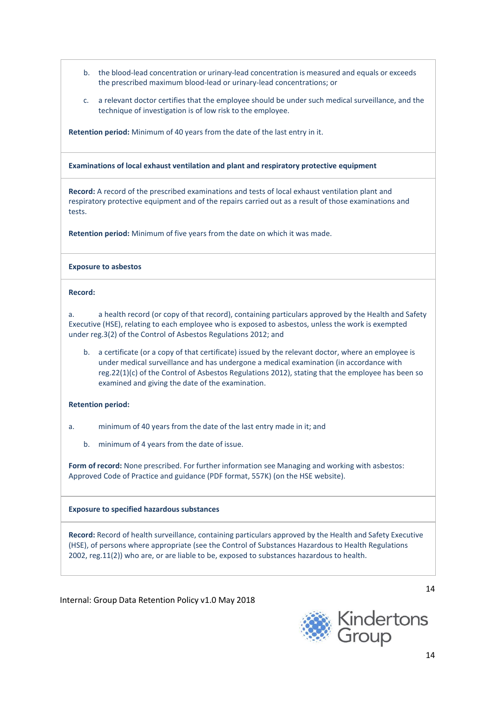- b. the blood-lead concentration or urinary-lead concentration is measured and equals or exceeds the prescribed maximum blood-lead or urinary-lead concentrations; or
- c. a relevant doctor certifies that the employee should be under such medical surveillance, and the technique of investigation is of low risk to the employee.

**Retention period:** Minimum of 40 years from the date of the last entry in it.

**Examinations of local exhaust ventilation and plant and respiratory protective equipment**

**Record:** A record of the prescribed examinations and tests of local exhaust ventilation plant and respiratory protective equipment and of the repairs carried out as a result of those examinations and tests.

**Retention period:** Minimum of five years from the date on which it was made.

#### **Exposure to asbestos**

#### **Record:**

a. a health record (or copy of that record), containing particulars approved by the Health and Safety Executive (HSE), relating to each employee who is exposed to asbestos, unless the work is exempted under reg.3(2) of the Control of Asbestos Regulations 2012; and

b. a certificate (or a copy of that certificate) issued by the relevant doctor, where an employee is under medical surveillance and has undergone a medical examination (in accordance with reg.22(1)(c) of the Control of Asbestos Regulations 2012), stating that the employee has been so examined and giving the date of the examination.

#### **Retention period:**

- a. minimum of 40 years from the date of the last entry made in it; and
	- b. minimum of 4 years from the date of issue.

**Form of record:** None prescribed. For further information see [Managing](http://www.hse.gov.uk/pubns/priced/l143.pdf) and working with asbestos: [Approved Code](http://www.hse.gov.uk/pubns/priced/l143.pdf) of Practice and guidance (PDF format, 557K) (on the HSE website).

#### **Exposure to specified hazardous substances**

**Record:** Record of health surveillance, containing particulars approved by the Health and Safety Executive (HSE), of persons where appropriate (see the Control of Substances Hazardous to Health Regulations 2002, reg.11(2)) who are, or are liable to be, exposed to substances hazardous to health.

Internal: Group Data Retention Policy v1.0 May 2018